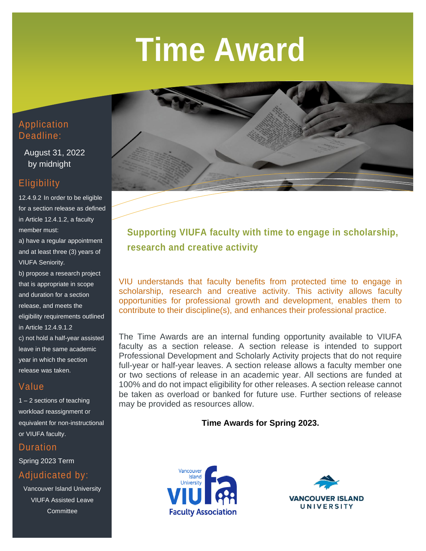# **Time Award**



 August 31, 2022 by midnight

# **Eligibility**

12.4.9.2 In order to be eligible for a section release as defined in Article 12.4.1.2, a faculty member must:

a) have a regular appointment and at least three (3) years of VIUFA Seniority.

b) propose a research project that is appropriate in scope and duration for a section release, and meets the eligibility requirements outlined in Article 12.4.9.1.2 c) not hold a half-year assisted leave in the same academic year in which the section release was taken.

## Value

1 – 2 sections of teaching workload reassignment or equivalent for non-instructional or VIUFA faculty.

**Duration** 

Spring 2023 Term

Adjudicated by:

Vancouver Island University VIUFA Assisted Leave **Committee** 



**Supporting VIUFA faculty with time to engage in scholarship, research and creative activity**

VIU understands that faculty benefits from protected time to engage in scholarship, research and creative activity. This activity allows faculty opportunities for professional growth and development, enables them to contribute to their discipline(s), and enhances their professional practice.

The Time Awards are an internal funding opportunity available to VIUFA faculty as a section release. A section release is intended to support Professional Development and Scholarly Activity projects that do not require full-year or half-year leaves. A section release allows a faculty member one or two sections of release in an academic year. All sections are funded at 100% and do not impact eligibility for other releases. A section release cannot be taken as overload or banked for future use. Further sections of release may be provided as resources allow.

### **Time Awards for Spring 2023.**